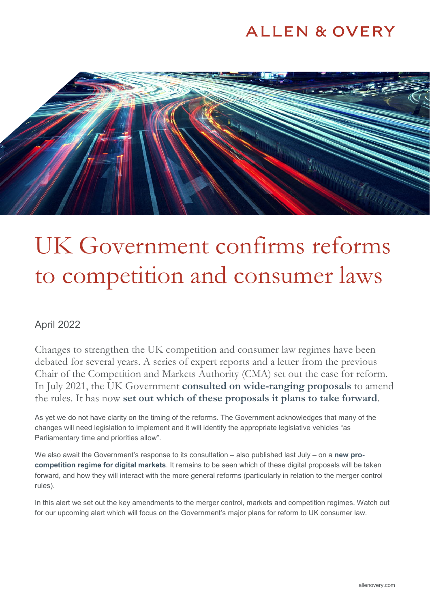## **ALLEN & OVERY**



# UK Government confirms reforms to competition and consumer laws

### April 2022

Changes to strengthen the UK competition and consumer law regimes have been debated for several years. A series of expert reports and a letter from the previous Chair of the Competition and Markets Authority (CMA) set out the case for reform. In July 2021, the UK Government **[consulted on wide-ranging proposals](https://www.allenovery.com/en-gb/global/news-and-insights/publications/major-reforms-proposed-for-uk-competition-and-consumer-regimes-including-digital)** to amend the rules. It has now **[set out which of these proposals it plans to take forward](https://www.gov.uk/government/consultations/reforming-competition-and-consumer-policy)**.

As yet we do not have clarity on the timing of the reforms. The Government acknowledges that many of the changes will need legislation to implement and it will identify the appropriate legislative vehicles "as Parliamentary time and priorities allow".

We also await the Government's response to its consultation – also published last July – on a **[new pro](https://www.gov.uk/government/consultations/a-new-pro-competition-regime-for-digital-markets)[competition regime for digital markets](https://www.gov.uk/government/consultations/a-new-pro-competition-regime-for-digital-markets)**. It remains to be seen which of these digital proposals will be taken forward, and how they will interact with the more general reforms (particularly in relation to the merger control rules).

In this alert we set out the key amendments to the merger control, markets and competition regimes. Watch out for our upcoming alert which will focus on the Government's major plans for reform to UK consumer law.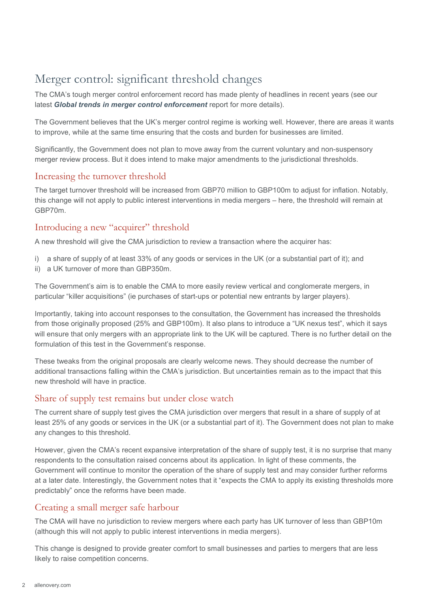### Merger control: significant threshold changes

The CMA's tough merger control enforcement record has made plenty of headlines in recent years (see our latest *[Global trends in merger control enforcement](https://www.allenovery.com/en-gb/global/news-and-insights/global-trends-in-merger-control-enforcement)* report for more details).

The Government believes that the UK's merger control regime is working well. However, there are areas it wants to improve, while at the same time ensuring that the costs and burden for businesses are limited.

Significantly, the Government does not plan to move away from the current voluntary and non-suspensory merger review process. But it does intend to make major amendments to the jurisdictional thresholds.

### Increasing the turnover threshold

The target turnover threshold will be increased from GBP70 million to GBP100m to adjust for inflation. Notably, this change will not apply to public interest interventions in media mergers – here, the threshold will remain at GBP70m.

### Introducing a new "acquirer" threshold

A new threshold will give the CMA jurisdiction to review a transaction where the acquirer has:

- i) a share of supply of at least 33% of any goods or services in the UK (or a substantial part of it); and
- ii) a UK turnover of more than GBP350m.

The Government's aim is to enable the CMA to more easily review vertical and conglomerate mergers, in particular "killer acquisitions" (ie purchases of start-ups or potential new entrants by larger players).

Importantly, taking into account responses to the consultation, the Government has increased the thresholds from those originally proposed (25% and GBP100m). It also plans to introduce a "UK nexus test", which it says will ensure that only mergers with an appropriate link to the UK will be captured. There is no further detail on the formulation of this test in the Government's response.

These tweaks from the original proposals are clearly welcome news. They should decrease the number of additional transactions falling within the CMA's jurisdiction. But uncertainties remain as to the impact that this new threshold will have in practice.

### Share of supply test remains but under close watch

The current share of supply test gives the CMA jurisdiction over mergers that result in a share of supply of at least 25% of any goods or services in the UK (or a substantial part of it). The Government does not plan to make any changes to this threshold.

However, given the CMA's recent expansive interpretation of the share of supply test, it is no surprise that many respondents to the consultation raised concerns about its application. In light of these comments, the Government will continue to monitor the operation of the share of supply test and may consider further reforms at a later date. Interestingly, the Government notes that it "expects the CMA to apply its existing thresholds more predictably" once the reforms have been made.

### Creating a small merger safe harbour

The CMA will have no jurisdiction to review mergers where each party has UK turnover of less than GBP10m (although this will not apply to public interest interventions in media mergers).

This change is designed to provide greater comfort to small businesses and parties to mergers that are less likely to raise competition concerns.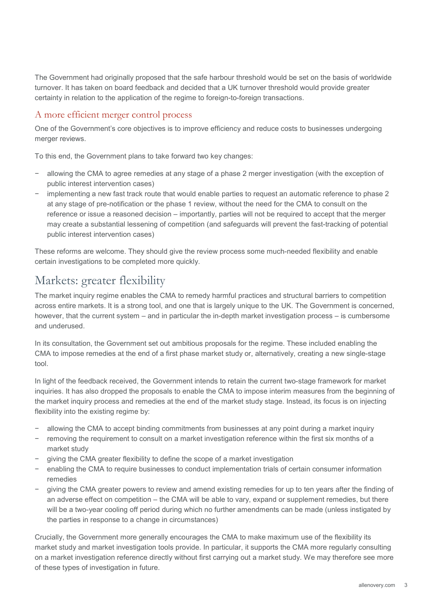The Government had originally proposed that the safe harbour threshold would be set on the basis of worldwide turnover. It has taken on board feedback and decided that a UK turnover threshold would provide greater certainty in relation to the application of the regime to foreign-to-foreign transactions.

#### A more efficient merger control process

One of the Government's core objectives is to improve efficiency and reduce costs to businesses undergoing merger reviews.

To this end, the Government plans to take forward two key changes:

- − allowing the CMA to agree remedies at any stage of a phase 2 merger investigation (with the exception of public interest intervention cases)
- − implementing a new fast track route that would enable parties to request an automatic reference to phase 2 at any stage of pre-notification or the phase 1 review, without the need for the CMA to consult on the reference or issue a reasoned decision – importantly, parties will not be required to accept that the merger may create a substantial lessening of competition (and safeguards will prevent the fast-tracking of potential public interest intervention cases)

These reforms are welcome. They should give the review process some much-needed flexibility and enable certain investigations to be completed more quickly.

### Markets: greater flexibility

The market inquiry regime enables the CMA to remedy harmful practices and structural barriers to competition across entire markets. It is a strong tool, and one that is largely unique to the UK. The Government is concerned, however, that the current system – and in particular the in-depth market investigation process – is cumbersome and underused.

In its consultation, the Government set out ambitious proposals for the regime. These included enabling the CMA to impose remedies at the end of a first phase market study or, alternatively, creating a new single-stage tool.

In light of the feedback received, the Government intends to retain the current two-stage framework for market inquiries. It has also dropped the proposals to enable the CMA to impose interim measures from the beginning of the market inquiry process and remedies at the end of the market study stage. Instead, its focus is on injecting flexibility into the existing regime by:

- allowing the CMA to accept binding commitments from businesses at any point during a market inquiry
- removing the requirement to consult on a market investigation reference within the first six months of a market study
- giving the CMA greater flexibility to define the scope of a market investigation
- − enabling the CMA to require businesses to conduct implementation trials of certain consumer information remedies
- giving the CMA greater powers to review and amend existing remedies for up to ten years after the finding of an adverse effect on competition – the CMA will be able to vary, expand or supplement remedies, but there will be a two-year cooling off period during which no further amendments can be made (unless instigated by the parties in response to a change in circumstances)

Crucially, the Government more generally encourages the CMA to make maximum use of the flexibility its market study and market investigation tools provide. In particular, it supports the CMA more regularly consulting on a market investigation reference directly without first carrying out a market study. We may therefore see more of these types of investigation in future.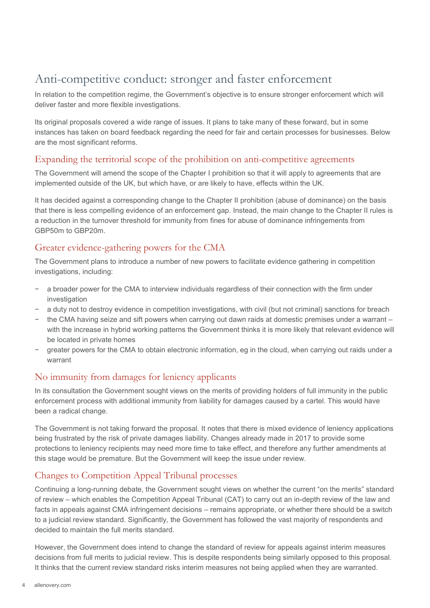### Anti-competitive conduct: stronger and faster enforcement

In relation to the competition regime, the Government's objective is to ensure stronger enforcement which will deliver faster and more flexible investigations.

Its original proposals covered a wide range of issues. It plans to take many of these forward, but in some instances has taken on board feedback regarding the need for fair and certain processes for businesses. Below are the most significant reforms.

### Expanding the territorial scope of the prohibition on anti-competitive agreements

The Government will amend the scope of the Chapter I prohibition so that it will apply to agreements that are implemented outside of the UK, but which have, or are likely to have, effects within the UK.

It has decided against a corresponding change to the Chapter II prohibition (abuse of dominance) on the basis that there is less compelling evidence of an enforcement gap. Instead, the main change to the Chapter II rules is a reduction in the turnover threshold for immunity from fines for abuse of dominance infringements from GBP50m to GBP20m.

### Greater evidence-gathering powers for the CMA

The Government plans to introduce a number of new powers to facilitate evidence gathering in competition investigations, including:

- a broader power for the CMA to interview individuals regardless of their connection with the firm under investigation
- a duty not to destroy evidence in competition investigations, with civil (but not criminal) sanctions for breach
- the CMA having seize and sift powers when carrying out dawn raids at domestic premises under a warrant with the increase in hybrid working patterns the Government thinks it is more likely that relevant evidence will be located in private homes
- greater powers for the CMA to obtain electronic information, eg in the cloud, when carrying out raids under a warrant

### No immunity from damages for leniency applicants

In its consultation the Government sought views on the merits of providing holders of full immunity in the public enforcement process with additional immunity from liability for damages caused by a cartel. This would have been a radical change.

The Government is not taking forward the proposal. It notes that there is mixed evidence of leniency applications being frustrated by the risk of private damages liability. Changes already made in 2017 to provide some protections to leniency recipients may need more time to take effect, and therefore any further amendments at this stage would be premature. But the Government will keep the issue under review.

### Changes to Competition Appeal Tribunal processes

Continuing a long-running debate, the Government sought views on whether the current "on the merits" standard of review – which enables the Competition Appeal Tribunal (CAT) to carry out an in-depth review of the law and facts in appeals against CMA infringement decisions – remains appropriate, or whether there should be a switch to a judicial review standard. Significantly, the Government has followed the vast majority of respondents and decided to maintain the full merits standard.

However, the Government does intend to change the standard of review for appeals against interim measures decisions from full merits to judicial review. This is despite respondents being similarly opposed to this proposal. It thinks that the current review standard risks interim measures not being applied when they are warranted.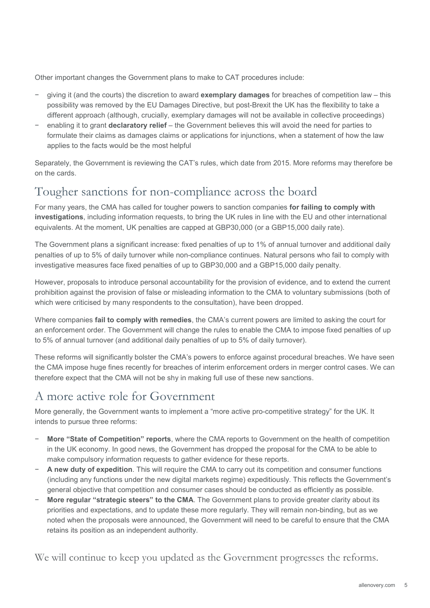Other important changes the Government plans to make to CAT procedures include:

- − giving it (and the courts) the discretion to award **exemplary damages** for breaches of competition law this possibility was removed by the EU Damages Directive, but post-Brexit the UK has the flexibility to take a different approach (although, crucially, exemplary damages will not be available in collective proceedings)
- − enabling it to grant **declaratory relief** the Government believes this will avoid the need for parties to formulate their claims as damages claims or applications for injunctions, when a statement of how the law applies to the facts would be the most helpful

Separately, the Government is reviewing the CAT's rules, which date from 2015. More reforms may therefore be on the cards.

### Tougher sanctions for non-compliance across the board

For many years, the CMA has called for tougher powers to sanction companies **for failing to comply with investigations**, including information requests, to bring the UK rules in line with the EU and other international equivalents. At the moment, UK penalties are capped at GBP30,000 (or a GBP15,000 daily rate).

The Government plans a significant increase: fixed penalties of up to 1% of annual turnover and additional daily penalties of up to 5% of daily turnover while non-compliance continues. Natural persons who fail to comply with investigative measures face fixed penalties of up to GBP30,000 and a GBP15,000 daily penalty.

However, proposals to introduce personal accountability for the provision of evidence, and to extend the current prohibition against the provision of false or misleading information to the CMA to voluntary submissions (both of which were criticised by many respondents to the consultation), have been dropped.

Where companies **fail to comply with remedies**, the CMA's current powers are limited to asking the court for an enforcement order. The Government will change the rules to enable the CMA to impose fixed penalties of up to 5% of annual turnover (and additional daily penalties of up to 5% of daily turnover).

These reforms will significantly bolster the CMA's powers to enforce against procedural breaches. We have seen the CMA impose huge fines recently for breaches of interim enforcement orders in merger control cases. We can therefore expect that the CMA will not be shy in making full use of these new sanctions.

### A more active role for Government

More generally, the Government wants to implement a "more active pro-competitive strategy" for the UK. It intends to pursue three reforms:

- − **More "State of Competition" reports**, where the CMA reports to Government on the health of competition in the UK economy. In good news, the Government has dropped the proposal for the CMA to be able to make compulsory information requests to gather evidence for these reports.
- − **A new duty of expedition**. This will require the CMA to carry out its competition and consumer functions (including any functions under the new digital markets regime) expeditiously. This reflects the Government's general objective that competition and consumer cases should be conducted as efficiently as possible.
- − **More regular "strategic steers" to the CMA**. The Government plans to provide greater clarity about its priorities and expectations, and to update these more regularly. They will remain non-binding, but as we noted when the proposals were announced, the Government will need to be careful to ensure that the CMA retains its position as an independent authority.

We will continue to keep you updated as the Government progresses the reforms.